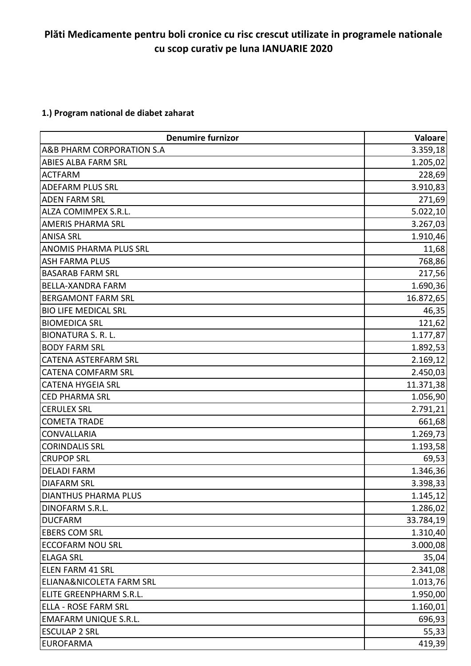## **Plăti Medicamente pentru boli cronice cu risc crescut utilizate in programele nationale cu scop curativ pe luna IANUARIE 2020**

### **1.) Program national de diabet zaharat**

| <b>Denumire furnizor</b>            | Valoare   |
|-------------------------------------|-----------|
| A&B PHARM CORPORATION S.A           | 3.359,18  |
| ABIES ALBA FARM SRL                 | 1.205,02  |
| <b>ACTFARM</b>                      | 228,69    |
| <b>ADEFARM PLUS SRL</b>             | 3.910,83  |
| <b>ADEN FARM SRL</b>                | 271,69    |
| ALZA COMIMPEX S.R.L.                | 5.022,10  |
| <b>AMERIS PHARMA SRL</b>            | 3.267,03  |
| <b>ANISA SRL</b>                    | 1.910,46  |
| <b>ANOMIS PHARMA PLUS SRL</b>       | 11,68     |
| <b>ASH FARMA PLUS</b>               | 768,86    |
| <b>BASARAB FARM SRL</b>             | 217,56    |
| <b>BELLA-XANDRA FARM</b>            | 1.690,36  |
| <b>BERGAMONT FARM SRL</b>           | 16.872,65 |
| <b>BIO LIFE MEDICAL SRL</b>         | 46,35     |
| <b>BIOMEDICA SRL</b>                | 121,62    |
| <b>BIONATURA S. R. L.</b>           | 1.177,87  |
| <b>BODY FARM SRL</b>                | 1.892,53  |
| CATENA ASTERFARM SRL                | 2.169,12  |
| <b>CATENA COMFARM SRL</b>           | 2.450,03  |
| <b>CATENA HYGEIA SRL</b>            | 11.371,38 |
| <b>CED PHARMA SRL</b>               | 1.056,90  |
| <b>CERULEX SRL</b>                  | 2.791,21  |
| <b>COMETA TRADE</b>                 | 661,68    |
| <b>CONVALLARIA</b>                  | 1.269,73  |
| <b>CORINDALIS SRL</b>               | 1.193,58  |
| <b>CRUPOP SRL</b>                   | 69,53     |
| <b>DELADI FARM</b>                  | 1.346,36  |
| <b>DIAFARM SRL</b>                  | 3.398,33  |
| <b>DIANTHUS PHARMA PLUS</b>         | 1.145, 12 |
| DINOFARM S.R.L.                     | 1.286,02  |
| <b>DUCFARM</b>                      | 33.784,19 |
| <b>EBERS COM SRL</b>                | 1.310,40  |
| <b>ECCOFARM NOU SRL</b>             | 3.000,08  |
| <b>ELAGA SRL</b>                    | 35,04     |
| <b>ELEN FARM 41 SRL</b>             | 2.341,08  |
| <b>ELIANA&amp;NICOLETA FARM SRL</b> | 1.013,76  |
| ELITE GREENPHARM S.R.L.             | 1.950,00  |
| <b>ELLA - ROSE FARM SRL</b>         | 1.160,01  |
| <b>EMAFARM UNIQUE S.R.L.</b>        | 696,93    |
| <b>ESCULAP 2 SRL</b>                | 55,33     |
| <b>EUROFARMA</b>                    | 419,39    |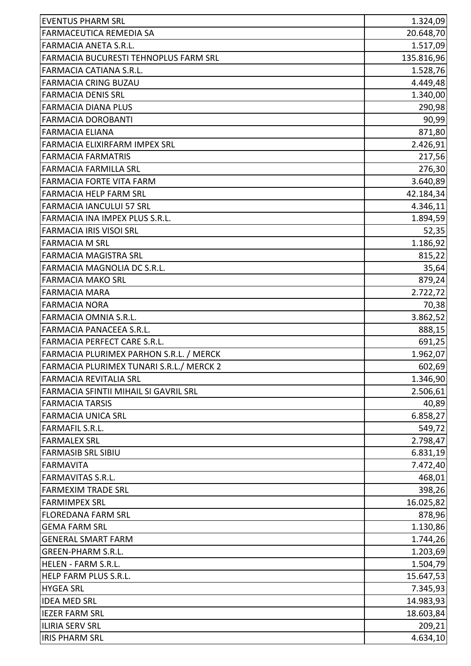| <b>EVENTUS PHARM SRL</b>                 | 1.324,09   |
|------------------------------------------|------------|
| FARMACEUTICA REMEDIA SA                  | 20.648,70  |
| FARMACIA ANETA S.R.L.                    | 1.517,09   |
| FARMACIA BUCURESTI TEHNOPLUS FARM SRL    | 135.816,96 |
| <b>FARMACIA CATIANA S.R.L.</b>           | 1.528,76   |
| <b>FARMACIA CRING BUZAU</b>              | 4.449,48   |
| <b>FARMACIA DENIS SRL</b>                | 1.340,00   |
| <b>FARMACIA DIANA PLUS</b>               | 290,98     |
| <b>FARMACIA DOROBANTI</b>                | 90,99      |
| <b>FARMACIA ELIANA</b>                   | 871,80     |
| FARMACIA ELIXIRFARM IMPEX SRL            | 2.426,91   |
| <b>FARMACIA FARMATRIS</b>                | 217,56     |
| <b>FARMACIA FARMILLA SRL</b>             | 276,30     |
| FARMACIA FORTE VITA FARM                 | 3.640,89   |
| <b>FARMACIA HELP FARM SRL</b>            | 42.184,34  |
| <b>FARMACIA IANCULUI 57 SRL</b>          | 4.346,11   |
| FARMACIA INA IMPEX PLUS S.R.L.           | 1.894,59   |
| <b>FARMACIA IRIS VISOI SRL</b>           | 52,35      |
| <b>FARMACIA M SRL</b>                    | 1.186,92   |
| <b>FARMACIA MAGISTRA SRL</b>             | 815,22     |
| FARMACIA MAGNOLIA DC S.R.L.              | 35,64      |
| <b>FARMACIA MAKO SRL</b>                 | 879,24     |
| <b>FARMACIA MARA</b>                     | 2.722,72   |
| FARMACIA NORA                            | 70,38      |
| FARMACIA OMNIA S.R.L.                    | 3.862,52   |
| <b>FARMACIA PANACEEA S.R.L.</b>          | 888,15     |
| FARMACIA PERFECT CARE S.R.L.             | 691,25     |
| FARMACIA PLURIMEX PARHON S.R.L. / MERCK  | 1.962,07   |
| FARMACIA PLURIMEX TUNARI S.R.L./ MERCK 2 | 602,69     |
| <b>FARMACIA REVITALIA SRL</b>            | 1.346,90   |
| FARMACIA SFINTII MIHAIL SI GAVRIL SRL    | 2.506,61   |
| <b>FARMACIA TARSIS</b>                   | 40,89      |
| <b>FARMACIA UNICA SRL</b>                | 6.858,27   |
| <b>FARMAFIL S.R.L.</b>                   | 549,72     |
| <b>FARMALEX SRL</b>                      | 2.798,47   |
| <b>FARMASIB SRL SIBIU</b>                | 6.831,19   |
| <b>FARMAVITA</b>                         | 7.472,40   |
| <b>FARMAVITAS S.R.L.</b>                 | 468,01     |
| <b>FARMEXIM TRADE SRL</b>                | 398,26     |
| <b>FARMIMPEX SRL</b>                     | 16.025,82  |
| <b>FLOREDANA FARM SRL</b>                | 878,96     |
| <b>GEMA FARM SRL</b>                     | 1.130,86   |
| <b>GENERAL SMART FARM</b>                | 1.744,26   |
| <b>GREEN-PHARM S.R.L.</b>                | 1.203,69   |
| <b>HELEN - FARM S.R.L.</b>               | 1.504,79   |
| HELP FARM PLUS S.R.L.                    | 15.647,53  |
| <b>HYGEA SRL</b>                         | 7.345,93   |
| <b>IDEA MED SRL</b>                      | 14.983,93  |
| <b>IEZER FARM SRL</b>                    | 18.603,84  |
| <b>ILIRIA SERV SRL</b>                   | 209,21     |
| <b>IRIS PHARM SRL</b>                    | 4.634,10   |
|                                          |            |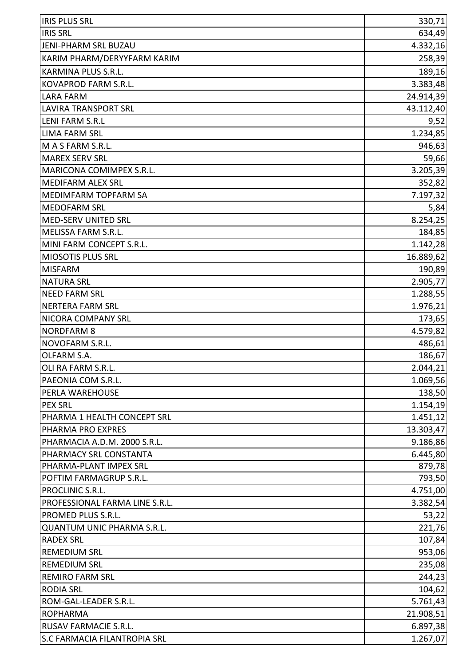| <b>IRIS PLUS SRL</b>                | 330,71    |
|-------------------------------------|-----------|
| <b>IRIS SRL</b>                     | 634,49    |
| JENI-PHARM SRL BUZAU                | 4.332,16  |
| KARIM PHARM/DERYYFARM KARIM         | 258,39    |
| KARMINA PLUS S.R.L.                 | 189,16    |
| KOVAPROD FARM S.R.L.                | 3.383,48  |
| <b>LARA FARM</b>                    | 24.914,39 |
| <b>LAVIRA TRANSPORT SRL</b>         | 43.112,40 |
| <b>LENI FARM S.R.L</b>              | 9,52      |
| <b>LIMA FARM SRL</b>                | 1.234,85  |
| M A S FARM S.R.L.                   | 946,63    |
| <b>MAREX SERV SRL</b>               | 59,66     |
| MARICONA COMIMPEX S.R.L.            | 3.205,39  |
| <b>MEDIFARM ALEX SRL</b>            | 352,82    |
| MEDIMFARM TOPFARM SA                | 7.197,32  |
| <b>MEDOFARM SRL</b>                 | 5,84      |
| <b>MED-SERV UNITED SRL</b>          | 8.254,25  |
| MELISSA FARM S.R.L.                 | 184,85    |
| MINI FARM CONCEPT S.R.L.            | 1.142,28  |
| MIOSOTIS PLUS SRL                   | 16.889,62 |
| <b>MISFARM</b>                      | 190,89    |
| <b>NATURA SRL</b>                   | 2.905,77  |
| <b>NEED FARM SRL</b>                | 1.288,55  |
| <b>NERTERA FARM SRL</b>             | 1.976,21  |
| NICORA COMPANY SRL                  | 173,65    |
| <b>NORDFARM 8</b>                   | 4.579,82  |
| NOVOFARM S.R.L.                     | 486,61    |
| OLFARM S.A.                         | 186,67    |
| OLI RA FARM S.R.L.                  | 2.044,21  |
| PAEONIA COM S.R.L.                  | 1.069,56  |
| PERLA WAREHOUSE                     | 138,50    |
| <b>PEX SRL</b>                      | 1.154, 19 |
| PHARMA 1 HEALTH CONCEPT SRL         | 1.451, 12 |
| PHARMA PRO EXPRES                   | 13.303,47 |
| PHARMACIA A.D.M. 2000 S.R.L.        | 9.186,86  |
| PHARMACY SRL CONSTANTA              | 6.445,80  |
| PHARMA-PLANT IMPEX SRL              | 879,78    |
| POFTIM FARMAGRUP S.R.L.             | 793,50    |
| PROCLINIC S.R.L.                    | 4.751,00  |
| PROFESSIONAL FARMA LINE S.R.L.      | 3.382,54  |
| PROMED PLUS S.R.L.                  | 53,22     |
| <b>QUANTUM UNIC PHARMA S.R.L.</b>   | 221,76    |
| <b>RADEX SRL</b>                    | 107,84    |
| <b>REMEDIUM SRL</b>                 | 953,06    |
| <b>REMEDIUM SRL</b>                 | 235,08    |
| <b>REMIRO FARM SRL</b>              | 244,23    |
| <b>RODIA SRL</b>                    | 104,62    |
| ROM-GAL-LEADER S.R.L.               | 5.761,43  |
| <b>ROPHARMA</b>                     | 21.908,51 |
| RUSAV FARMACIE S.R.L.               | 6.897,38  |
| <b>S.C FARMACIA FILANTROPIA SRL</b> | 1.267,07  |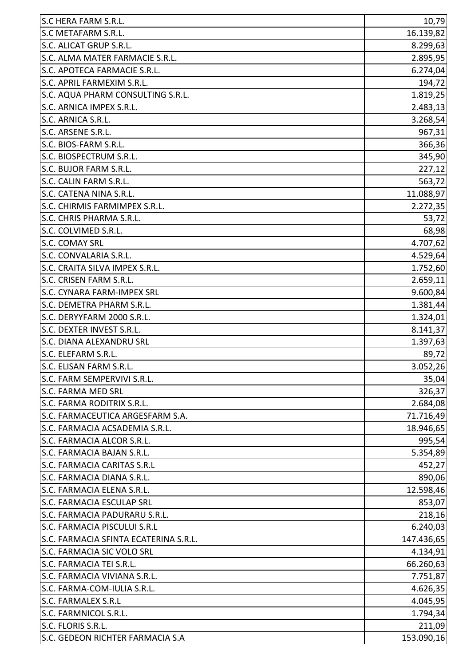| S.C HERA FARM S.R.L.                  | 10,79      |
|---------------------------------------|------------|
| S.C METAFARM S.R.L.                   | 16.139,82  |
| S.C. ALICAT GRUP S.R.L.               | 8.299,63   |
| S.C. ALMA MATER FARMACIE S.R.L.       | 2.895,95   |
| S.C. APOTECA FARMACIE S.R.L.          | 6.274,04   |
| S.C. APRIL FARMEXIM S.R.L.            | 194,72     |
| S.C. AQUA PHARM CONSULTING S.R.L.     | 1.819,25   |
| S.C. ARNICA IMPEX S.R.L.              | 2.483,13   |
| S.C. ARNICA S.R.L.                    | 3.268,54   |
| S.C. ARSENE S.R.L.                    | 967,31     |
| S.C. BIOS-FARM S.R.L.                 | 366,36     |
| S.C. BIOSPECTRUM S.R.L.               | 345,90     |
| S.C. BUJOR FARM S.R.L.                | 227,12     |
| S.C. CALIN FARM S.R.L.                | 563,72     |
| S.C. CATENA NINA S.R.L.               | 11.088,97  |
| S.C. CHIRMIS FARMIMPEX S.R.L.         | 2.272,35   |
| S.C. CHRIS PHARMA S.R.L.              | 53,72      |
| S.C. COLVIMED S.R.L.                  | 68,98      |
| S.C. COMAY SRL                        | 4.707,62   |
| S.C. CONVALARIA S.R.L.                | 4.529,64   |
| S.C. CRAITA SILVA IMPEX S.R.L.        | 1.752,60   |
| S.C. CRISEN FARM S.R.L.               | 2.659,11   |
| <b>S.C. CYNARA FARM-IMPEX SRL</b>     | 9.600,84   |
| S.C. DEMETRA PHARM S.R.L.             | 1.381,44   |
| S.C. DERYYFARM 2000 S.R.L.            | 1.324,01   |
| S.C. DEXTER INVEST S.R.L.             | 8.141,37   |
| S.C. DIANA ALEXANDRU SRL              | 1.397,63   |
| S.C. ELEFARM S.R.L.                   | 89,72      |
| S.C. ELISAN FARM S.R.L                | 3.052,26   |
| S.C. FARM SEMPERVIVI S.R.L.           | 35,04      |
| <b>S.C. FARMA MED SRL</b>             | 326,37     |
| S.C. FARMA RODITRIX S.R.L.            | 2.684,08   |
| S.C. FARMACEUTICA ARGESFARM S.A.      | 71.716,49  |
| S.C. FARMACIA ACSADEMIA S.R.L.        | 18.946,65  |
| S.C. FARMACIA ALCOR S.R.L.            | 995,54     |
| S.C. FARMACIA BAJAN S.R.L.            | 5.354,89   |
| <b>S.C. FARMACIA CARITAS S.R.L</b>    | 452,27     |
| S.C. FARMACIA DIANA S.R.L.            | 890,06     |
| S.C. FARMACIA ELENA S.R.L.            | 12.598,46  |
| <b>S.C. FARMACIA ESCULAP SRL</b>      | 853,07     |
| S.C. FARMACIA PADURARU S.R.L.         | 218,16     |
| <b>S.C. FARMACIA PISCULUI S.R.L</b>   | 6.240,03   |
| S.C. FARMACIA SFINTA ECATERINA S.R.L. | 147.436,65 |
| S.C. FARMACIA SIC VOLO SRL            | 4.134,91   |
| S.C. FARMACIA TEI S.R.L.              | 66.260,63  |
| S.C. FARMACIA VIVIANA S.R.L.          | 7.751,87   |
| S.C. FARMA-COM-IULIA S.R.L.           | 4.626,35   |
| S.C. FARMALEX S.R.L                   | 4.045,95   |
| S.C. FARMNICOL S.R.L.                 | 1.794,34   |
| S.C. FLORIS S.R.L.                    | 211,09     |
| S.C. GEDEON RICHTER FARMACIA S.A      | 153.090,16 |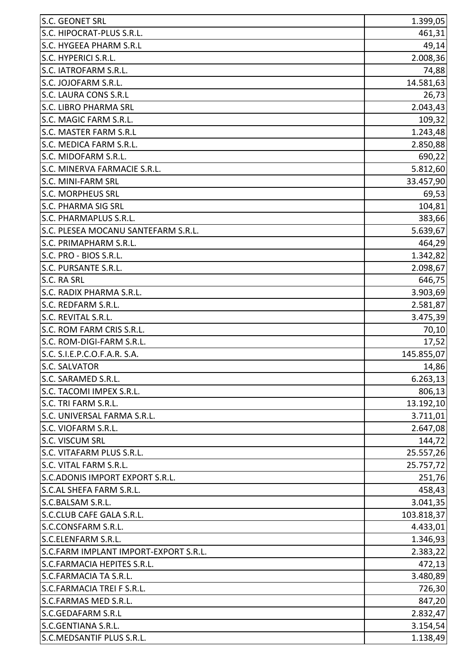| S.C. GEONET SRL                       | 1.399,05   |
|---------------------------------------|------------|
| S.C. HIPOCRAT-PLUS S.R.L.             | 461,31     |
| S.C. HYGEEA PHARM S.R.L               | 49,14      |
| S.C. HYPERICI S.R.L.                  | 2.008,36   |
| S.C. IATROFARM S.R.L.                 | 74,88      |
| S.C. JOJOFARM S.R.L.                  | 14.581,63  |
| S.C. LAURA CONS S.R.L                 | 26,73      |
| <b>S.C. LIBRO PHARMA SRL</b>          | 2.043,43   |
| S.C. MAGIC FARM S.R.L.                | 109,32     |
| S.C. MASTER FARM S.R.L                | 1.243,48   |
| S.C. MEDICA FARM S.R.L.               | 2.850,88   |
| S.C. MIDOFARM S.R.L.                  | 690,22     |
| S.C. MINERVA FARMACIE S.R.L.          | 5.812,60   |
| <b>S.C. MINI-FARM SRL</b>             | 33.457,90  |
| <b>S.C. MORPHEUS SRL</b>              | 69,53      |
| <b>S.C. PHARMA SIG SRL</b>            | 104,81     |
| S.C. PHARMAPLUS S.R.L.                | 383,66     |
| S.C. PLESEA MOCANU SANTEFARM S.R.L.   | 5.639,67   |
| S.C. PRIMAPHARM S.R.L.                | 464,29     |
| S.C. PRO - BIOS S.R.L.                | 1.342,82   |
| S.C. PURSANTE S.R.L.                  | 2.098,67   |
| S.C. RA SRL                           | 646,75     |
| S.C. RADIX PHARMA S.R.L.              | 3.903,69   |
| S.C. REDFARM S.R.L.                   | 2.581,87   |
| S.C. REVITAL S.R.L.                   | 3.475,39   |
| S.C. ROM FARM CRIS S.R.L.             | 70,10      |
| S.C. ROM-DIGI-FARM S.R.L.             | 17,52      |
| S.C. S.I.E.P.C.O.F.A.R. S.A.          | 145.855,07 |
| <b>S.C. SALVATOR</b>                  | 14,86      |
| S.C. SARAMED S.R.L.                   | 6.263,13   |
| S.C. TACOMI IMPEX S.R.L.              | 806,13     |
| S.C. TRI FARM S.R.L.                  | 13.192,10  |
| S.C. UNIVERSAL FARMA S.R.L.           | 3.711,01   |
| S.C. VIOFARM S.R.L.                   | 2.647,08   |
| <b>S.C. VISCUM SRL</b>                | 144,72     |
| S.C. VITAFARM PLUS S.R.L.             | 25.557,26  |
| S.C. VITAL FARM S.R.L.                | 25.757,72  |
| S.C. ADONIS IMPORT EXPORT S.R.L.      | 251,76     |
| S.C.AL SHEFA FARM S.R.L.              | 458,43     |
| S.C.BALSAM S.R.L.                     | 3.041, 35  |
| S.C.CLUB CAFE GALA S.R.L.             | 103.818,37 |
| S.C.CONSFARM S.R.L.                   | 4.433,01   |
| S.C.ELENFARM S.R.L.                   | 1.346,93   |
| S.C.FARM IMPLANT IMPORT-EXPORT S.R.L. | 2.383,22   |
| S.C.FARMACIA HEPITES S.R.L.           | 472,13     |
| S.C.FARMACIA TA S.R.L.                | 3.480,89   |
| S.C.FARMACIA TREI F S.R.L.            | 726,30     |
| S.C.FARMAS MED S.R.L.                 | 847,20     |
| S.C.GEDAFARM S.R.L                    | 2.832,47   |
| S.C.GENTIANA S.R.L.                   | 3.154,54   |
| S.C.MEDSANTIF PLUS S.R.L.             | 1.138,49   |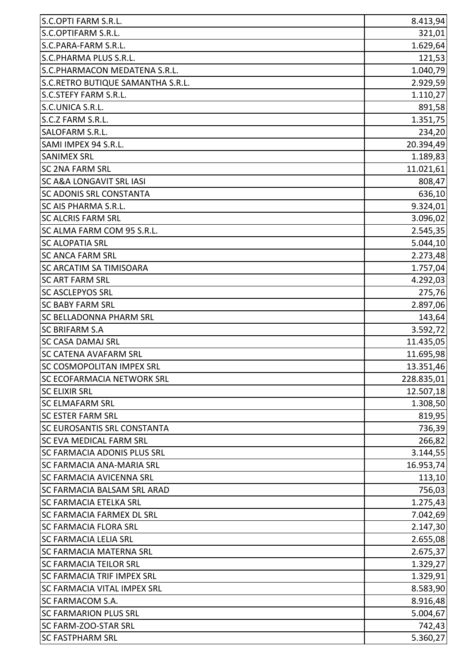| S.C.OPTI FARM S.R.L.                | 8.413,94   |
|-------------------------------------|------------|
| S.C.OPTIFARM S.R.L.                 | 321,01     |
| S.C.PARA-FARM S.R.L.                | 1.629,64   |
| S.C.PHARMA PLUS S.R.L.              | 121,53     |
| S.C.PHARMACON MEDATENA S.R.L.       | 1.040,79   |
| S.C.RETRO BUTIQUE SAMANTHA S.R.L.   | 2.929,59   |
| <b>S.C.STEFY FARM S.R.L.</b>        | 1.110,27   |
| S.C.UNICA S.R.L.                    | 891,58     |
| S.C.Z FARM S.R.L.                   | 1.351,75   |
| <b>SALOFARM S.R.L.</b>              | 234,20     |
| SAMI IMPEX 94 S.R.L.                | 20.394,49  |
| <b>SANIMEX SRL</b>                  | 1.189,83   |
| <b>SC 2NA FARM SRL</b>              | 11.021,61  |
| <b>SC A&amp;A LONGAVIT SRL IASI</b> | 808,47     |
| <b>SC ADONIS SRL CONSTANTA</b>      | 636,10     |
| <b>SC AIS PHARMA S.R.L.</b>         | 9.324,01   |
| <b>SC ALCRIS FARM SRL</b>           | 3.096,02   |
| SC ALMA FARM COM 95 S.R.L.          | 2.545,35   |
| <b>SC ALOPATIA SRL</b>              | 5.044, 10  |
| <b>SC ANCA FARM SRL</b>             | 2.273,48   |
| <b>SC ARCATIM SA TIMISOARA</b>      | 1.757,04   |
| <b>SC ART FARM SRL</b>              | 4.292,03   |
| <b>SC ASCLEPYOS SRL</b>             | 275,76     |
| <b>SC BABY FARM SRL</b>             | 2.897,06   |
| <b>SC BELLADONNA PHARM SRL</b>      | 143,64     |
| <b>SC BRIFARM S.A</b>               | 3.592,72   |
| <b>SC CASA DAMAJ SRL</b>            | 11.435,05  |
| <b>SC CATENA AVAFARM SRL</b>        | 11.695,98  |
| SC COSMOPOLITAN IMPEX SRL           | 13.351,46  |
| <b>SC ECOFARMACIA NETWORK SRL</b>   | 228.835,01 |
| <b>SC ELIXIR SRL</b>                | 12.507,18  |
| <b>SC ELMAFARM SRL</b>              | 1.308,50   |
| <b>SC ESTER FARM SRL</b>            | 819,95     |
| <b>SC EUROSANTIS SRL CONSTANTA</b>  | 736,39     |
| <b>SC EVA MEDICAL FARM SRL</b>      | 266,82     |
| <b>SC FARMACIA ADONIS PLUS SRL</b>  | 3.144,55   |
| <b>SC FARMACIA ANA-MARIA SRL</b>    | 16.953,74  |
| <b>SC FARMACIA AVICENNA SRL</b>     | 113,10     |
| <b>SC FARMACIA BALSAM SRL ARAD</b>  | 756,03     |
| <b>SC FARMACIA ETELKA SRL</b>       | 1.275,43   |
| <b>SC FARMACIA FARMEX DL SRL</b>    | 7.042,69   |
| <b>SC FARMACIA FLORA SRL</b>        | 2.147,30   |
| <b>SC FARMACIA LELIA SRL</b>        | 2.655,08   |
| <b>SC FARMACIA MATERNA SRL</b>      | 2.675,37   |
| <b>SC FARMACIA TEILOR SRL</b>       | 1.329,27   |
| <b>SC FARMACIA TRIF IMPEX SRL</b>   | 1.329,91   |
| <b>SC FARMACIA VITAL IMPEX SRL</b>  | 8.583,90   |
| <b>SC FARMACOM S.A.</b>             | 8.916,48   |
| <b>SC FARMARION PLUS SRL</b>        | 5.004,67   |
| <b>SC FARM-ZOO-STAR SRL</b>         | 742,43     |
| <b>SC FASTPHARM SRL</b>             | 5.360,27   |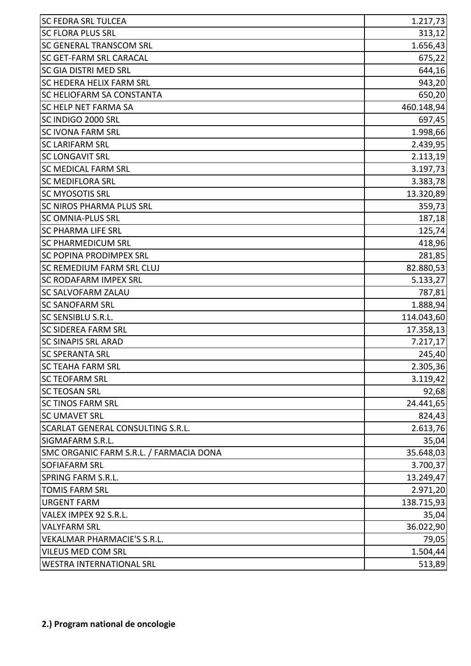| <b>SC FEDRA SRL TULCEA</b>              | 1.217,73   |
|-----------------------------------------|------------|
| <b>SC FLORA PLUS SRL</b>                | 313,12     |
| SC GENERAL TRANSCOM SRL                 | 1.656,43   |
| SC GET-FARM SRL CARACAL                 | 675,22     |
| <b>SC GIA DISTRI MED SRL</b>            | 644,16     |
| <b>SC HEDERA HELIX FARM SRL</b>         | 943,20     |
| <b>SC HELIOFARM SA CONSTANTA</b>        | 650,20     |
| <b>SC HELP NET FARMA SA</b>             | 460.148,94 |
| SC INDIGO 2000 SRL                      | 697,45     |
| <b>SC IVONA FARM SRL</b>                | 1.998,66   |
| <b>SC LARIFARM SRL</b>                  | 2.439,95   |
| <b>SC LONGAVIT SRL</b>                  | 2.113,19   |
| <b>SC MEDICAL FARM SRL</b>              | 3.197,73   |
| <b>SC MEDIFLORA SRL</b>                 | 3.383,78   |
| <b>SC MYOSOTIS SRL</b>                  | 13.320,89  |
| <b>SC NIROS PHARMA PLUS SRL</b>         | 359,73     |
| <b>SC OMNIA-PLUS SRL</b>                | 187,18     |
| <b>SC PHARMA LIFE SRL</b>               | 125,74     |
| <b>SC PHARMEDICUM SRL</b>               | 418,96     |
| <b>SC POPINA PRODIMPEX SRL</b>          | 281,85     |
| <b>SC REMEDIUM FARM SRL CLUJ</b>        | 82.880,53  |
| <b>SC RODAFARM IMPEX SRL</b>            | 5.133,27   |
| SC SALVOFARM ZALAU                      | 787,81     |
| <b>SC SANOFARM SRL</b>                  | 1.888,94   |
| SC SENSIBLU S.R.L.                      | 114.043,60 |
| <b>SC SIDEREA FARM SRL</b>              | 17.358,13  |
| <b>SC SINAPIS SRL ARAD</b>              | 7.217,17   |
| <b>SC SPERANTA SRL</b>                  | 245,40     |
| SC TEAHA FARM SRL                       | 2.305,36   |
| <b>SC TEOFARM SRL</b>                   | 3.119,42   |
| <b>SC TEOSAN SRL</b>                    | 92,68      |
| <b>SC TINOS FARM SRL</b>                | 24.441,65  |
| <b>SC UMAVET SRL</b>                    | 824,43     |
| SCARLAT GENERAL CONSULTING S.R.L.       | 2.613,76   |
| SIGMAFARM S.R.L.                        | 35,04      |
| SMC ORGANIC FARM S.R.L. / FARMACIA DONA | 35.648,03  |
| SOFIAFARM SRL                           | 3.700,37   |
| SPRING FARM S.R.L.                      | 13.249,47  |
| <b>TOMIS FARM SRL</b>                   | 2.971,20   |
| <b>URGENT FARM</b>                      | 138.715,93 |
| VALEX IMPEX 92 S.R.L.                   | 35,04      |
| <b>VALYFARM SRL</b>                     | 36.022,90  |
| <b>VEKALMAR PHARMACIE'S S.R.L.</b>      | 79,05      |
| VILEUS MED COM SRL                      | 1.504,44   |
| <b>WESTRA INTERNATIONAL SRL</b>         | 513,89     |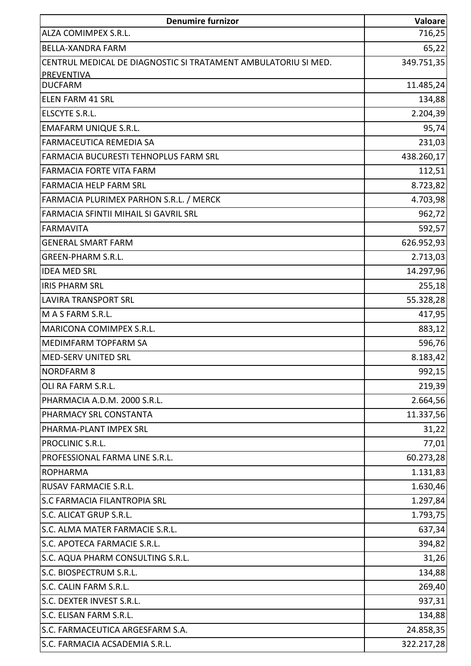| <b>Denumire furnizor</b>                                       | Valoare    |
|----------------------------------------------------------------|------------|
| <b>ALZA COMIMPEX S.R.L.</b>                                    | 716,25     |
| <b>BELLA-XANDRA FARM</b>                                       | 65,22      |
| CENTRUL MEDICAL DE DIAGNOSTIC SI TRATAMENT AMBULATORIU SI MED. | 349.751,35 |
| PREVENTIVA                                                     |            |
| <b>DUCFARM</b>                                                 | 11.485,24  |
| <b>ELEN FARM 41 SRL</b>                                        | 134,88     |
| ELSCYTE S.R.L.                                                 | 2.204,39   |
| <b>EMAFARM UNIQUE S.R.L.</b>                                   | 95,74      |
| <b>FARMACEUTICA REMEDIA SA</b>                                 | 231,03     |
| FARMACIA BUCURESTI TEHNOPLUS FARM SRL                          | 438.260,17 |
| <b>FARMACIA FORTE VITA FARM</b>                                | 112,51     |
| <b>FARMACIA HELP FARM SRL</b>                                  | 8.723,82   |
| FARMACIA PLURIMEX PARHON S.R.L. / MERCK                        | 4.703,98   |
| FARMACIA SFINTII MIHAIL SI GAVRIL SRL                          | 962,72     |
| <b>FARMAVITA</b>                                               | 592,57     |
| <b>GENERAL SMART FARM</b>                                      | 626.952,93 |
| <b>GREEN-PHARM S.R.L.</b>                                      | 2.713,03   |
| <b>IDEA MED SRL</b>                                            | 14.297,96  |
| <b>IRIS PHARM SRL</b>                                          | 255,18     |
| <b>LAVIRA TRANSPORT SRL</b>                                    | 55.328,28  |
| M A S FARM S.R.L.                                              | 417,95     |
| MARICONA COMIMPEX S.R.L.                                       | 883,12     |
| MEDIMFARM TOPFARM SA                                           | 596,76     |
| <b>MED-SERV UNITED SRL</b>                                     | 8.183,42   |
| <b>NORDFARM 8</b>                                              | 992,15     |
| OLI RA FARM S.R.L.                                             | 219,39     |
| PHARMACIA A.D.M. 2000 S.R.L.                                   | 2.664,56   |
| PHARMACY SRL CONSTANTA                                         | 11.337,56  |
| PHARMA-PLANT IMPEX SRL                                         | 31,22      |
| PROCLINIC S.R.L.                                               | 77,01      |
| PROFESSIONAL FARMA LINE S.R.L.                                 | 60.273,28  |
| <b>ROPHARMA</b>                                                | 1.131,83   |
| RUSAV FARMACIE S.R.L.                                          | 1.630,46   |
| S.C FARMACIA FILANTROPIA SRL                                   | 1.297,84   |
| S.C. ALICAT GRUP S.R.L.                                        | 1.793,75   |
| S.C. ALMA MATER FARMACIE S.R.L.                                | 637,34     |
| S.C. APOTECA FARMACIE S.R.L.                                   | 394,82     |
| S.C. AQUA PHARM CONSULTING S.R.L.                              | 31,26      |
| S.C. BIOSPECTRUM S.R.L.                                        | 134,88     |
| S.C. CALIN FARM S.R.L.                                         | 269,40     |
| S.C. DEXTER INVEST S.R.L.                                      | 937,31     |
| S.C. ELISAN FARM S.R.L.                                        | 134,88     |
| S.C. FARMACEUTICA ARGESFARM S.A.                               | 24.858,35  |
| S.C. FARMACIA ACSADEMIA S.R.L.                                 | 322.217,28 |
|                                                                |            |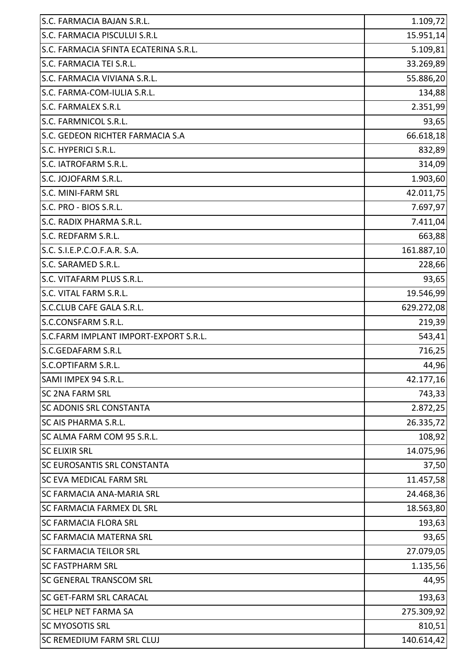| S.C. FARMACIA BAJAN S.R.L.            | 1.109,72   |
|---------------------------------------|------------|
| S.C. FARMACIA PISCULUI S.R.L          | 15.951,14  |
| S.C. FARMACIA SFINTA ECATERINA S.R.L. | 5.109,81   |
| S.C. FARMACIA TEI S.R.L.              | 33.269,89  |
| S.C. FARMACIA VIVIANA S.R.L.          | 55.886,20  |
| S.C. FARMA-COM-IULIA S.R.L.           | 134,88     |
| <b>S.C. FARMALEX S.R.L</b>            | 2.351,99   |
| S.C. FARMNICOL S.R.L.                 | 93,65      |
| S.C. GEDEON RICHTER FARMACIA S.A      | 66.618,18  |
| S.C. HYPERICI S.R.L.                  | 832,89     |
| S.C. IATROFARM S.R.L.                 | 314,09     |
| S.C. JOJOFARM S.R.L.                  | 1.903,60   |
| S.C. MINI-FARM SRL                    | 42.011,75  |
| S.C. PRO - BIOS S.R.L.                | 7.697,97   |
| S.C. RADIX PHARMA S.R.L.              | 7.411,04   |
| S.C. REDFARM S.R.L.                   | 663,88     |
| S.C. S.I.E.P.C.O.F.A.R. S.A.          | 161.887,10 |
| S.C. SARAMED S.R.L.                   | 228,66     |
| S.C. VITAFARM PLUS S.R.L.             | 93,65      |
| S.C. VITAL FARM S.R.L.                | 19.546,99  |
| S.C.CLUB CAFE GALA S.R.L.             | 629.272,08 |
| S.C.CONSFARM S.R.L.                   | 219,39     |
| S.C.FARM IMPLANT IMPORT-EXPORT S.R.L. | 543,41     |
| S.C.GEDAFARM S.R.L                    | 716,25     |
| lS.C.OPTIFARM S.R.L                   | 44,96      |
| SAMI IMPEX 94 S.R.L.                  | 42.177,16  |
| <b>SC 2NA FARM SRL</b>                | 743,33     |
| <b>SC ADONIS SRL CONSTANTA</b>        | 2.872,25   |
| <b>SC AIS PHARMA S.R.L.</b>           | 26.335,72  |
| SC ALMA FARM COM 95 S.R.L.            | 108,92     |
| <b>SC ELIXIR SRL</b>                  | 14.075,96  |
| <b>SC EUROSANTIS SRL CONSTANTA</b>    | 37,50      |
| <b>SC EVA MEDICAL FARM SRL</b>        | 11.457,58  |
| <b>SC FARMACIA ANA-MARIA SRL</b>      | 24.468,36  |
| <b>SC FARMACIA FARMEX DL SRL</b>      | 18.563,80  |
| <b>SC FARMACIA FLORA SRL</b>          | 193,63     |
| <b>SC FARMACIA MATERNA SRL</b>        | 93,65      |
| <b>SC FARMACIA TEILOR SRL</b>         | 27.079,05  |
| <b>SC FASTPHARM SRL</b>               | 1.135,56   |
| <b>SC GENERAL TRANSCOM SRL</b>        | 44,95      |
| <b>SC GET-FARM SRL CARACAL</b>        | 193,63     |
| <b>SC HELP NET FARMA SA</b>           | 275.309,92 |
| <b>SC MYOSOTIS SRL</b>                | 810,51     |
| <b>SC REMEDIUM FARM SRL CLUJ</b>      | 140.614,42 |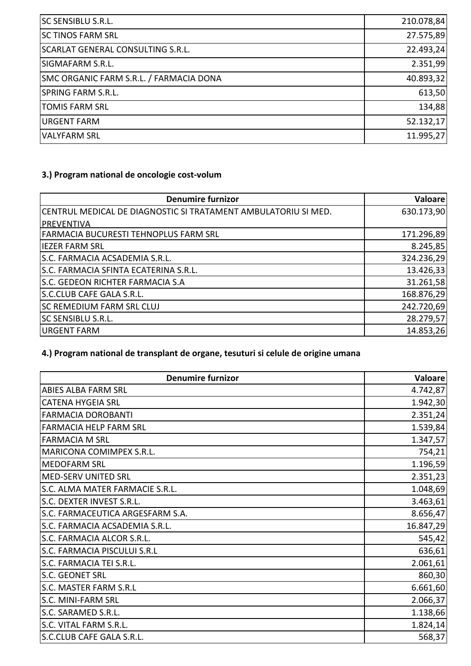| <b>SC SENSIBLU S.R.L.</b>                | 210.078,84 |
|------------------------------------------|------------|
| <b>SC TINOS FARM SRL</b>                 | 27.575,89  |
| <b>SCARLAT GENERAL CONSULTING S.R.L.</b> | 22.493,24  |
| SIGMAFARM S.R.L.                         | 2.351,99   |
| SMC ORGANIC FARM S.R.L. / FARMACIA DONA  | 40.893,32  |
| SPRING FARM S.R.L.                       | 613,50     |
| <b>TOMIS FARM SRL</b>                    | 134,88     |
| <b>URGENT FARM</b>                       | 52.132,17  |
| <b>VALYFARM SRL</b>                      | 11.995,27  |

### **3.) Program national de oncologie cost-volum**

| <b>Denumire furnizor</b>                                       | Valoare    |
|----------------------------------------------------------------|------------|
| CENTRUL MEDICAL DE DIAGNOSTIC SI TRATAMENT AMBULATORIU SI MED. | 630.173,90 |
| PREVENTIVA                                                     |            |
| FARMACIA BUCURESTI TEHNOPLUS FARM SRL                          | 171.296,89 |
| <b>IEZER FARM SRL</b>                                          | 8.245,85   |
| S.C. FARMACIA ACSADEMIA S.R.L.                                 | 324.236,29 |
| S.C. FARMACIA SFINTA ECATERINA S.R.L.                          | 13.426,33  |
| S.C. GEDEON RICHTER FARMACIA S.A                               | 31.261,58  |
| S.C.CLUB CAFE GALA S.R.L.                                      | 168.876,29 |
| <b>SC REMEDIUM FARM SRL CLUJ</b>                               | 242.720,69 |
| <b>SC SENSIBLU S.R.L.</b>                                      | 28.279,57  |
| URGENT FARM                                                    | 14.853,26  |

# **4.) Program national de transplant de organe, tesuturi si celule de origine umana**

| <b>Denumire furnizor</b>         | Valoare   |
|----------------------------------|-----------|
| <b>ABIES ALBA FARM SRL</b>       | 4.742,87  |
| <b>CATENA HYGEIA SRL</b>         | 1.942,30  |
| <b>FARMACIA DOROBANTI</b>        | 2.351,24  |
| <b>FARMACIA HELP FARM SRL</b>    | 1.539,84  |
| <b>FARMACIA M SRL</b>            | 1.347,57  |
| MARICONA COMIMPEX S.R.L.         | 754,21    |
| <b>MEDOFARM SRL</b>              | 1.196,59  |
| MED-SERV UNITED SRL              | 2.351,23  |
| S.C. ALMA MATER FARMACIE S.R.L.  | 1.048,69  |
| S.C. DEXTER INVEST S.R.L.        | 3.463,61  |
| S.C. FARMACEUTICA ARGESFARM S.A. | 8.656,47  |
| S.C. FARMACIA ACSADEMIA S.R.L.   | 16.847,29 |
| S.C. FARMACIA ALCOR S.R.L.       | 545,42    |
| S.C. FARMACIA PISCULUI S.R.L     | 636,61    |
| S.C. FARMACIA TEI S.R.L.         | 2.061,61  |
| S.C. GEONET SRL                  | 860,30    |
| S.C. MASTER FARM S.R.L           | 6.661,60  |
| S.C. MINI-FARM SRL               | 2.066,37  |
| S.C. SARAMED S.R.L.              | 1.138,66  |
| S.C. VITAL FARM S.R.L.           | 1.824, 14 |
| S.C.CLUB CAFE GALA S.R.L.        | 568,37    |